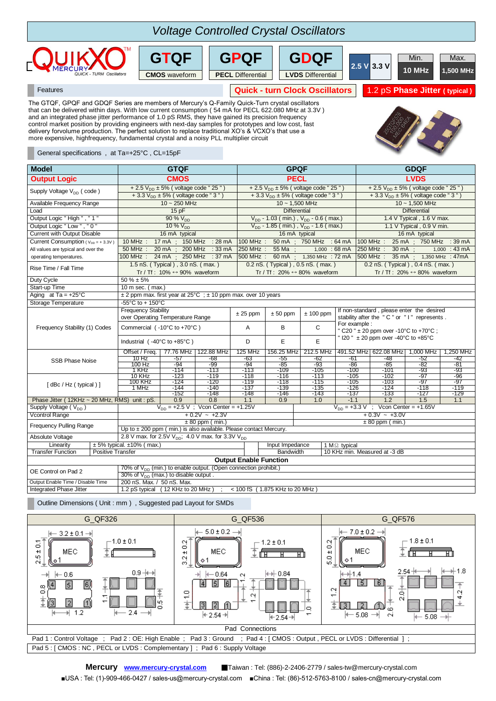## ; 150 MHz :28 mA |100 MHz : 50 mA ; 750 MHz :64 mA |100 MHz : 25 mA ; 200 MHz : 33 mA 250 MHz : 55 Ma ; 4,000 : 68 mA 250 MHz : 30 mA MHz: 24 mA; 250 MHz: 37 mA 500 MHz: 60 mA; 1,350 MHz: 72 mA 500 MHz: 35 mA; 1.5 nS. (Typical), 3.0 nS. (max.) 0.2 nS. (Typical), 0.5 nS. (max.) 0.2 nS. (Typical), Linearity  $\pm 5\%$  typical.  $\pm 10\%$  (max.)<br>Transfer Function Positive Transfer Bandwidth 10 KHz min. Measured at -3 dB **Output Enable Function** OE Control on Pad 2  $\frac{70\% \text{ of } V_{DD} \text{ (min.)}}{2000 \text{ of } V_{DD} \text{ (min.)}}$  to enable output. (Open connection prohibit.)  $30\%$  of  $V_{DD}$  (max.) to disable output Absolute Voltage 2.8 V max. for 2.5V  $V_{DD}$ ; 4.0 V max. for 3.3V  $V_{DD}$ Linearity  $\frac{1}{2}$  ± 5% typical. ±10% (max.) Vcontrol Range  $+0.2V \sim +2.3V$   $+0.3V \sim +3.0V$ <br> $\pm 80$  ppm (min.)  $\pm 80$  ppm (min.)  $+0.3V \sim +3.0V$ ± 80 ppm (min.)<br>
± 80 ppm (min.) ± 80 ppm (min.) is also available. Please contact Mercury. 1.1 Supply Voltage ( $V_{DD}$ )  $V_{DD}$  = +2.5 V ; Vcon Center = +1.25V  $V_{DD}$  = +3.3 V ; Vcon Center = +1.65V -137 | -133 | -127 | -129 Phase Jitter ( 12KHz ~ 20 MHz, RMS) unit : pS. 0.9 0.8 1.1 0.9 1.0 [ dBc / Hz ( typical ) ] 10 KHz -123 -119 -118<br>10 KHz -123 -119 -118<br>100 KHz -124 -120 -119 -152 | -148 | -148 | -146 | -143  $-1.1$  1.2 1.5  $-105$   $-103$   $-97$   $-97$ 1 MHz | -144 | -140 | -137 | -139 | -135 100 KHz -124 -120 -119 -118 -115 -126 | -124 | -118 | -119 -116 | -113 | -105 | -102 | -97 | -96 -105 | -100 | -101 | -93 | -93 -93 -86 -85 -82 -81 1 KHz | -114 | -113 | -113 | -109 212.5 MHz 491.52 MHz 622.08 MHz 1,000 MHz 1,250 MHz<br>-62 -61 -48 -52 -42 10 Hz -57 -68 -63 -56 -62 -68 -63 -648 -62 -61 -48 -52 -42 Offset / Freq. 77.76 MHz 122.88 MHz 125 MHz 156.25 MHz<br>10 Hz - 57 - 68 - 63 - 55<br>100 Hz - 94 - 99 - 94 - 85 Industrial  $(-40^{\circ} \text{C to } +85^{\circ} \text{C})$  D E 100 Hz -94 -99 -94 -85 Storage Temperature -55°C to + 150°C Frequency Stability (1) Codes Frequency Stability<br>over Operating Temperature Range  $\pm 25$  ppm  $\pm 50$  ppm  $\pm 100$  ppm  $\pm 100$  fon-standard , please enter the desired<br>stability after the "C" or "I" represents. stability after the " C " or " I " represents . E " I20 " ± 20 ppm over -40°C to +85°C Commercial ( $-10^{\circ}$ C to  $+70^{\circ}$ C)  $A \parallel B \parallel C$ For example " C20 " ± 20 ppm over -10°C to +70°C ; Duty Cycle  $50\% \pm 5\%$ Start-up Time 10 m sec. (max.)<br>Aging at Ta =  $+25^{\circ}$ C  $\pm 2$  ppm max. firs  $\pm$  2 ppm max. first year at 25°C ;  $\pm$  10 ppm max. over 10 years 1.350 MHz : 47mA Rise Time / Fall Time 1.5 nS. ( Typical ) , 3.0 nS. ( max. ) 0.2 nS. ( Typical ) , 0.5 nS. ( max. ) 0.2 nS. ( Typical ) , 0.4 nS. ( max. ) 1.5 nS. ( max. ) 1.5 nS. ( max. ) 1.5 nS. ( max. ) 1.5 nS. ( max. ) 1.4 nS. ( max. Tr / Tf : 10%  $\leftrightarrow$  90% waveform 1,350 MHz  $1,000$  : 43 mA operating temperatures. 100 MHz All values are typical and over the  $\overline{50 \text{ MHz}}$  : 20 mA Current with Output Disable 16 mA typical 16 mA typical 16 mA typical 16 mA typical 16 mA typical 16 mA typical 16 mA typical 16 mA typical 16 mA typical 16 mA typical 16 mA typical 16 mA typical 16 mA typical 16 mA typica Current Consumption ( $v_{\text{on}} = +3.3v$ ) 10 MHz : 17 mA 150 MHz : 28 mA 100 MHz : 50 mA 750 MHz : 64 mA 100 MHz : 25 mA 750 MHz : 39 mA Output Logic " High ", " 1 " 90 % V<sub>DD</sub> 90 % V<sub>DD</sub> - 1.03 ( min.) , V<sub>DD</sub> - 0.6 ( max.) 1.4 V Typical , 1.6 V max.<br>
Output Logic " Low ", " 0 " 10 % V<sub>DD</sub> 90 % V<sub>DD</sub> - 1.85 ( min.) , V<sub>DD</sub> - 1.6 ( max.) 1.1 V Typical , 0.  $V_{DD}$  - 1.85 ( min.) ,  $V_{DD}$  - 1.6 ( max.)  $+ 3.3 \text{ V}_{\text{DD}} \pm 5\%$  (voltage code " 3<br>10 ~ 1,500 MHz Available Frequency Range 10 ~ 1,500 MHz 10 ~ 1,500 MHz Load 15 pF Differential Differential Differential Differential Differential Differential Differential  **Output Logic CMOS PECL LVDS** Supply Voltage V<sub>DD</sub> ( code )  $+ 2.5 V_{DD} \pm 5\%$  ( voltage code " 25 " )  $+ 2.5 V_{DD} \pm 5\%$  ( voltage code " 25 " )  $+ 3.3 V_{DD} \pm 5\%$  ( voltage code " 25 " )  $+ 3.3 V_{DD} \pm 5\%$  ( voltage code " 25 " )  $+ 3.3 V_{DD} \pm 5\%$  ( vol  $+ 3.3 V_{DD} \pm 5%$  (voltage code " 3 General specifications , at Ta=+25°C , CL=15pF  **Model GTQF GPQF GDQF** that can be delivered within days. With low current consumption ( 54 mA for PECL 622.080 MHz at 3.3V ) and an integrated phase jitter performance of 1.0 pS RMS, they have gained its precision frequency control market position by providing engineers with next-day samples for prototypes and low cost, fast delivery forvolume production. The perfect solution to replace traditional XO's & VCXO's that use a more expensive, highfrequency, fundamental crystal and a noisy PLL multiplier circuit **Quick - turn Clock Oscillators 1.2 pS Phase Jitter ( typical )**<br> **Quick - turn Clock Oscillators 1.2 pS Phase Jitter ( typical )** The GTQF, GPQF and GDQF Series are members of Mercury's Q-Family Quick-Turn crystal oscillators **2.5 V 3.3 V** Min. Max. **EXAMPLE AND CONSULTER AND CONSULTER CONSULTER TO A LABORATE CONSULTER TO A LABORATE CONSULTER TO A LABORATE CONSULTER TO A LABORATE CONSULTER TO A LABORATE CONSULTER TO A LABORATE CONSULTER TO A LABORATE CONSULTER TO A LA** *Voltage Controlled Crystal Oscillators*  **GTQF GPQF GDQF PECL** Differential **LVDS** Differential

Output Enable Time / Disable Time 200 nS. Max. / 50 nS. Max.<br>Integrated Phase Jitter 1.2 pS typical (12 KHz to 20 MHz)  $<$  100 fS ( 1.875 KHz to 20 MHz )

Outline Dimensions ( Unit : mm ) , Suggested pad Layout for SMDs